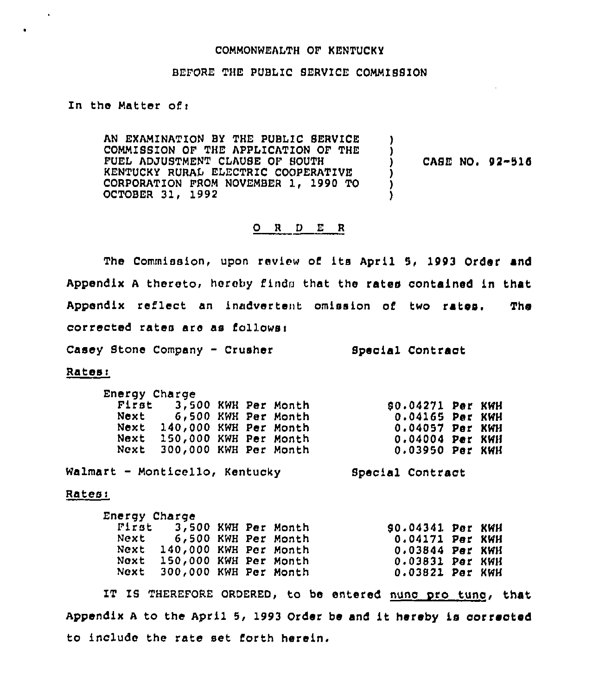## COMMONWEALTH OF KENTUCKY

#### BEFORE THE PUBLIC SERVICE COMMISSION

### In the Matter of:

AN EXAMINATION BY THE PUBLIC BERVICE COMMISSION OF THE APPLICATION OF THE FUEL ADJUSTMENT CLAUSE OF SOUTH KENTUCKY RURAL ELECTRIC COOPERATIVE CORPORATION FROM NOVEMBER 1, 1990 TO OCTOBER 31, 1992 ) ) CASE NO. 92-516 <u>ן</u> <u>ן</u> )

# 0 <sup>R</sup> <sup>D</sup> E <sup>R</sup>

The Commission, upon review of its April 5, 1993 Order and Appendix A thereto, hereby finds that the rates contained in that Appendix reflect an inadvertent omission of two rates. The corrected rates are as follows:

Casey Stone Company - Crusher **Becial Contract** 

#### Ratesi

Energy Charge<br>First 3,500 KWH Per Month Next 6,500 Next 140,000 Next 150,000 KWH Per Month Next 300,000 KWH Per Month KWH Per Month KWH Per Month 90.04271 Per KWH 0 <sup>~</sup> 04165 Per KWH 0,04057 Per KWH 0,04004 Per'WH 0.03950 Per KWH Walmsrt — Monticello, Kentucky Ratesi Special Contract Energy Charge

| <b>Tirst</b> |                            |  | 3,500 KWH Per Month | \$0.04341 Per KWH |  |
|--------------|----------------------------|--|---------------------|-------------------|--|
|              | Next 6,500 KWH Per Month   |  |                     | 0.04171 Per KWH   |  |
|              | Next 140,000 KWH Per Month |  |                     | 0.03844 Per KWK   |  |
|              | Next 150,000 KWH Per Month |  |                     | 0.03831 Per KWH   |  |
|              | Next 300,000 KWH Per Month |  |                     | 0.03821 Per KWH   |  |

IT IS THEREFORE ORDERED, to be entered nunc pro tung, that Appendix <sup>A</sup> to the April 5, 1993 order be and it hereby is corrected to include the rate set forth herein.